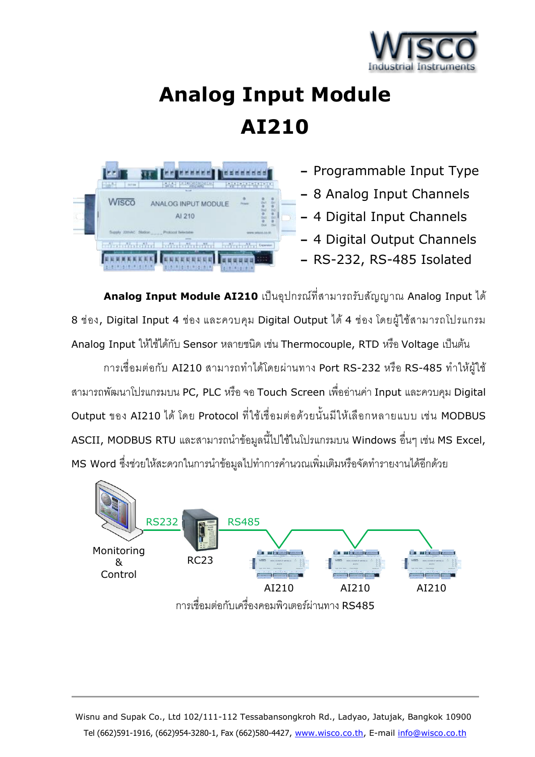

# **Analog Input Module AI210**



**–** Programmable Input Type

- **–** 8 Analog Input Channels
- **–** 4 Digital Input Channels
- **–** 4 Digital Output Channels
- **–** RS-232, RS-485 Isolated

**Analog Input Module AI210** เป็นอุปกรณ์ที่สามารถรับสัญญาณ Analog Input ได้ <sup>8</sup>ช่อง, Digital Input 4 ช่อง และควบคุม Digital Output ได้ 4 ช่อง โดยผู้ใช้สามารถโปรแกรม Analog Input ให้ใช้ได้กับ Sensor หลายชนิด เช่น Thermocouple, RTD หรือ Voltage เป็นต้น

การเชื่อมต่อกับ AI210 สามารถทำได้โดยผ่านทาง Port RS-232 หรือ RS-485 ทำให้ผู้ใช้ สามารถพัฒนาโปรแกรมบน PC, PLC หรือ จอ Touch Screen เพื่ออ่านค่า Input และควบคุม Digital Output ของ AI210 ได้ โดย Protocol ที่ใช้เชื่อมต่อด้วยนั้นมีให้เลือกหลายแบบ เช่น MODBUS ASCII, MODBUS RTU และสามารถนำข้อมูลนี้ไปใช้ในโปรแกรมบน Windows อื่นๆ เช่น MS Excel, MS Word ซึ่งช่วยให้สะดวกในการนำข้อมูลไปทำการคำนวณเพิ่มเติมหรือจัดทำรายงานได้อีกด้วย



Wisnu and Supak Co., Ltd 102/111-112 Tessabansongkroh Rd., Ladyao, Jatujak, Bangkok 10900 Tel (662)591-1916, (662)954-3280-1, Fax (662)580-4427, [www.wisco.co.th,](http://www.wisco.co.th/) E-mail [info@wisco.co.th](mailto:info@wisco.co.th)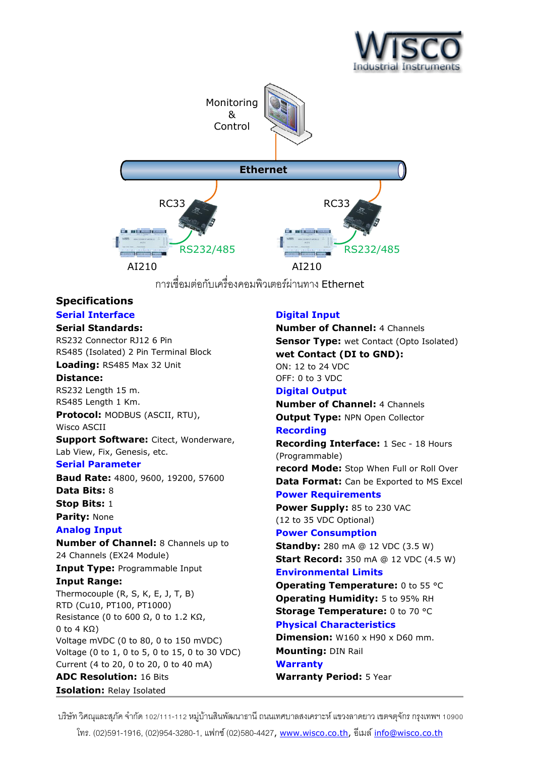



การเชื่อมต่อกับเครื่องคอมพิวเตอร์ผ่านทาง Ethernet

#### **Specifications Serial Interface**

# **Serial Standards:**

RS232 Connector RJ12 6 Pin RS485 (Isolated) 2 Pin Terminal Block **Loading:** RS485 Max 32 Unit

# **Distance:**

RS232 Length 15 m. RS485 Length 1 Km.

**Protocol:** MODBUS (ASCII, RTU), Wisco ASCII

**Support Software:** Citect, Wonderware, Lab View, Fix, Genesis, etc.

#### **Serial Parameter**

**Baud Rate:** 4800, 9600, 19200, 57600 **Data Bits:** 8 **Stop Bits:** 1 **Parity:** None

## **Analog Input**

**Number of Channel:** 8 Channels up to 24 Channels (EX24 Module)

**Input Type:** Programmable Input **Input Range:** 

Thermocouple (R, S, K, E, J, T, B) RTD (Cu10, PT100, PT1000) Resistance (0 to 600  $\Omega$ , 0 to 1.2 K $\Omega$ , 0 to 4 KΩ) Voltage mVDC (0 to 80, 0 to 150 mVDC) Voltage (0 to 1, 0 to 5, 0 to 15, 0 to 30 VDC) Current (4 to 20, 0 to 20, 0 to 40 mA) **ADC Resolution:** 16 Bits

#### **Isolation:** Relay Isolated

# **Digital Input**

**Number of Channel:** 4 Channels **Sensor Type:** wet Contact (Opto Isolated) **wet Contact (DI to GND):** ON: 12 to 24 VDC OFF: 0 to 3 VDC **Digital Output Number of Channel:** 4 Channels **Output Type:** NPN Open Collector **Recording Recording Interface:** 1 Sec - 18 Hours (Programmable) **record Mode:** Stop When Full or Roll Over **Data Format:** Can be Exported to MS Excel **Power Requirements Power Supply:** 85 to 230 VAC (12 to 35 VDC Optional) **Power Consumption Standby:** 280 mA @ 12 VDC (3.5 W)

**Start Record:** 350 mA @ 12 VDC (4.5 W) **Environmental Limits**

**Operating Temperature:** 0 to 55 °C **Operating Humidity:** 5 to 95% RH **Storage Temperature: 0 to 70 °C Physical Characteristics**

**Dimension:** W160 x H90 x D60 mm. **Mounting:** DIN Rail **Warranty Warranty Period:** 5 Year

บริษัท วิศณุและสุภัค จำกัด 102/111-112 หมู่บ้านสินพัฒนาธานี ถนนเทศบาลสงเคราะห์ แขวงลาดยาว เขตจตุจักร กรุงเทพฯ 10900

โทร. (02)591-1916, (02)954-3280-1, แฟกซ์ (02)580-4427, [www.wisco.co.th,](http://www.wisco.co.th/) อีเมล์ [info@wisco.co.th](mailto:info@wisco.co.th)